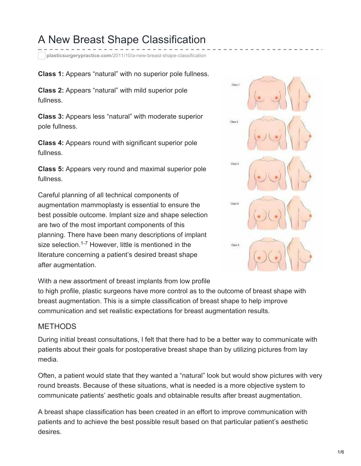# A New Breast Shape Classification

**plasticsurgerypractice.com**[/2011/10/a-new-breast-shape-classification](http://www.plasticsurgerypractice.com/2011/10/a-new-breast-shape-classification/)

**Class 1:** Appears "natural" with no superior pole fullness.

**Class 2:** Appears "natural" with mild superior pole fullness.

**Class 3:** Appears less "natural" with moderate superior pole fullness.

**Class 4:** Appears round with significant superior pole fullness.

**Class 5:** Appears very round and maximal superior pole fullness.

Careful planning of all technical components of augmentation mammoplasty is essential to ensure the best possible outcome. Implant size and shape selection are two of the most important components of this planning. There have been many descriptions of implant size selection.<sup>1-7</sup> However, little is mentioned in the literature concerning a patient's desired breast shape after augmentation.



With a new assortment of breast implants from low profile

to high profile, plastic surgeons have more control as to the outcome of breast shape with breast augmentation. This is a simple classification of breast shape to help improve communication and set realistic expectations for breast augmentation results.

#### METHODS

During initial breast consultations, I felt that there had to be a better way to communicate with patients about their goals for postoperative breast shape than by utilizing pictures from lay media.

Often, a patient would state that they wanted a "natural" look but would show pictures with very round breasts. Because of these situations, what is needed is a more objective system to communicate patients' aesthetic goals and obtainable results after breast augmentation.

A breast shape classification has been created in an effort to improve communication with patients and to achieve the best possible result based on that particular patient's aesthetic desires.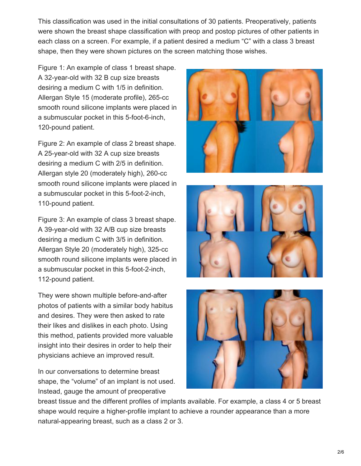This classification was used in the initial consultations of 30 patients. Preoperatively, patients were shown the breast shape classification with preop and postop pictures of other patients in each class on a screen. For example, if a patient desired a medium "C" with a class 3 breast shape, then they were shown pictures on the screen matching those wishes.

Figure 1: An example of class 1 breast shape. A 32-year-old with 32 B cup size breasts desiring a medium C with 1/5 in definition. Allergan Style 15 (moderate profile), 265-cc smooth round silicone implants were placed in a submuscular pocket in this 5-foot-6-inch, 120-pound patient.

Figure 2: An example of class 2 breast shape. A 25-year-old with 32 A cup size breasts desiring a medium C with 2/5 in definition. Allergan style 20 (moderately high), 260-cc smooth round silicone implants were placed in a submuscular pocket in this 5-foot-2-inch, 110-pound patient.

Figure 3: An example of class 3 breast shape. A 39-year-old with 32 A/B cup size breasts desiring a medium C with 3/5 in definition. Allergan Style 20 (moderately high), 325-cc smooth round silicone implants were placed in a submuscular pocket in this 5-foot-2-inch, 112-pound patient.

They were shown multiple before-and-after photos of patients with a similar body habitus and desires. They were then asked to rate their likes and dislikes in each photo. Using this method, patients provided more valuable insight into their desires in order to help their physicians achieve an improved result.

In our conversations to determine breast shape, the "volume" of an implant is not used. Instead, gauge the amount of preoperative







breast tissue and the different profiles of implants available. For example, a class 4 or 5 breast shape would require a higher-profile implant to achieve a rounder appearance than a more natural-appearing breast, such as a class 2 or 3.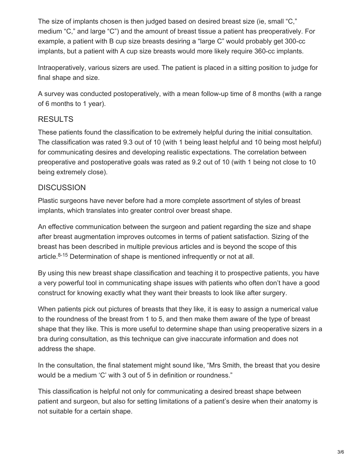The size of implants chosen is then judged based on desired breast size (ie, small "C," medium "C," and large "C") and the amount of breast tissue a patient has preoperatively. For example, a patient with B cup size breasts desiring a "large C" would probably get 300-cc implants, but a patient with A cup size breasts would more likely require 360-cc implants.

Intraoperatively, various sizers are used. The patient is placed in a sitting position to judge for final shape and size.

A survey was conducted postoperatively, with a mean follow-up time of 8 months (with a range of 6 months to 1 year).

## RESULTS

These patients found the classification to be extremely helpful during the initial consultation. The classification was rated 9.3 out of 10 (with 1 being least helpful and 10 being most helpful) for communicating desires and developing realistic expectations. The correlation between preoperative and postoperative goals was rated as 9.2 out of 10 (with 1 being not close to 10 being extremely close).

### **DISCUSSION**

Plastic surgeons have never before had a more complete assortment of styles of breast implants, which translates into greater control over breast shape.

An effective communication between the surgeon and patient regarding the size and shape after breast augmentation improves outcomes in terms of patient satisfaction. Sizing of the breast has been described in multiple previous articles and is beyond the scope of this article. $8-15$  Determination of shape is mentioned infrequently or not at all.

By using this new breast shape classification and teaching it to prospective patients, you have a very powerful tool in communicating shape issues with patients who often don't have a good construct for knowing exactly what they want their breasts to look like after surgery.

When patients pick out pictures of breasts that they like, it is easy to assign a numerical value to the roundness of the breast from 1 to 5, and then make them aware of the type of breast shape that they like. This is more useful to determine shape than using preoperative sizers in a bra during consultation, as this technique can give inaccurate information and does not address the shape.

In the consultation, the final statement might sound like, "Mrs Smith, the breast that you desire would be a medium 'C' with 3 out of 5 in definition or roundness."

This classification is helpful not only for communicating a desired breast shape between patient and surgeon, but also for setting limitations of a patient's desire when their anatomy is not suitable for a certain shape.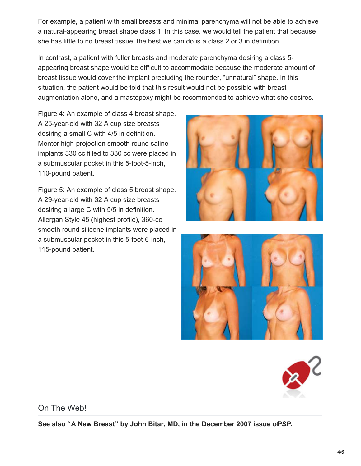For example, a patient with small breasts and minimal parenchyma will not be able to achieve a natural-appearing breast shape class 1. In this case, we would tell the patient that because she has little to no breast tissue, the best we can do is a class 2 or 3 in definition.

In contrast, a patient with fuller breasts and moderate parenchyma desiring a class 5 appearing breast shape would be difficult to accommodate because the moderate amount of breast tissue would cover the implant precluding the rounder, "unnatural" shape. In this situation, the patient would be told that this result would not be possible with breast augmentation alone, and a mastopexy might be recommended to achieve what she desires.

Figure 4: An example of class 4 breast shape. A 25-year-old with 32 A cup size breasts desiring a small C with 4/5 in definition. Mentor high-projection smooth round saline implants 330 cc filled to 330 cc were placed in a submuscular pocket in this 5-foot-5-inch, 110-pound patient.

Figure 5: An example of class 5 breast shape. A 29-year-old with 32 A cup size breasts desiring a large C with 5/5 in definition. Allergan Style 45 (highest profile), 360-cc smooth round silicone implants were placed in a submuscular pocket in this 5-foot-6-inch, 115-pound patient.







On The Web!

**See also "A New [Breast](http://a360-wp-uploads.s3.amazonaws.com/wp-content/uploads/plastics/issues/articles/2007-12_03.asp)" by John Bitar, MD, in the December 2007 issue of***PSP***.**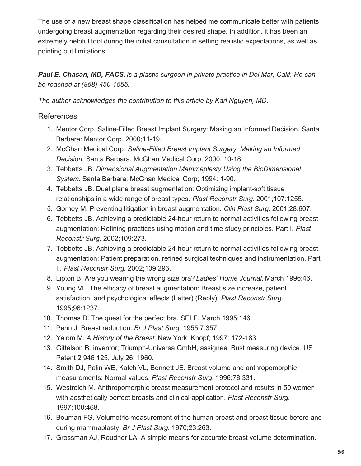The use of a new breast shape classification has helped me communicate better with patients undergoing breast augmentation regarding their desired shape. In addition, it has been an extremely helpful tool during the initial consultation in setting realistic expectations, as well as pointing out limitations.

*Paul E. Chasan, MD, FACS, is a plastic surgeon in private practice in Del Mar, Calif. He can be reached at (858) 450-1555.*

*The author acknowledges the contribution to this article by Karl Nguyen, MD.*

#### References

- 1. Mentor Corp. Saline-Filled Breast Implant Surgery: Making an Informed Decision. Santa Barbara: Mentor Corp, 2000;11-19.
- 2. McGhan Medical Corp. *Saline-Filled Breast Implant Surgery: Making an Informed Decision.* Santa Barbara: McGhan Medical Corp; 2000: 10-18.
- 3. Tebbetts JB. *Dimensional Augmentation Mammaplasty Using the BioDimensional System.* Santa Barbara: McGhan Medical Corp; 1994: 1-90.
- 4. Tebbetts JB. Dual plane breast augmentation: Optimizing implant-soft tissue relationships in a wide range of breast types. *Plast Reconstr Surg.* 2001;107:1255.
- 5. Gorney M. Preventing litigation in breast augmentation. *Clin Plast Surg.* 2001;28:607.
- 6. Tebbetts JB. Achieving a predictable 24-hour return to normal activities following breast augmentation: Refining practices using motion and time study principles. Part I. *Plast Reconstr Surg.* 2002;109:273.
- 7. Tebbetts JB. Achieving a predictable 24-hour return to normal activities following breast augmentation: Patient preparation, refined surgical techniques and instrumentation. Part II. *Plast Reconstr Surg.* 2002;109:293.
- 8. Lipton B. Are you wearing the wrong size bra? *Ladies' Home Journal.* March 1996;46.
- 9. Young VL. The efficacy of breast augmentation: Breast size increase, patient satisfaction, and psychological effects (Letter) (Reply). *Plast Reconstr Surg.* 1995;96:1237.
- 10. Thomas D. The quest for the perfect bra. SELF. March 1995;146.
- 11. Penn J. Breast reduction. *Br J Plast Surg.* 1955;7:357.
- 12. Yalom M. *A History of the Breast.* New York: Knopf; 1997: 172-183.
- 13. Gittelson B. inventor; Triumph-Universa GmbH, assignee. Bust measuring device. US Patent 2 946 125. July 26, 1960.
- 14. Smith DJ, Palin WE, Katch VL, Bennett JE. Breast volume and anthropomorphic measurements: Normal values. *Plast Reconstr Surg.* 1996;78:331.
- 15. Westreich M. Anthropomorphic breast measurement protocol and results in 50 women with aesthetically perfect breasts and clinical application. *Plast Reconstr Surg.* 1997;100:468.
- 16. Bouman FG. Volumetric measurement of the human breast and breast tissue before and during mammaplasty. *Br J Plast Surg.* 1970;23:263.
- 17. Grossman AJ, Roudner LA. A simple means for accurate breast volume determination.